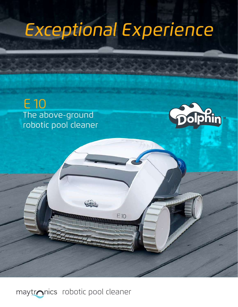# *Experience Exceptional*

EIO





**TITULU** 

Animal Maria

maytronics robotic pool cleaner